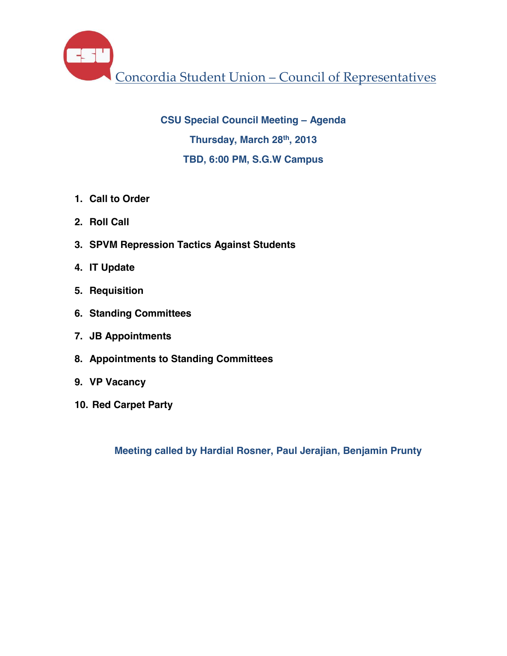Concordia Student Union – Council of Representatives

**CSU Special Council Meeting – Agenda Thursday, March 28th, 2013 TBD, 6:00 PM, S.G.W Campus**

- **1. Call to Order**
- **2. Roll Call**
- **3. SPVM Repression Tactics Against Students**
- **4. IT Update**
- **5. Requisition**
- **6. Standing Committees**
- **7. JB Appointments**
- **8. Appointments to Standing Committees**
- **9. VP Vacancy**
- **10. Red Carpet Party**

**Meeting called by Hardial Rosner, Paul Jerajian, Benjamin Prunty**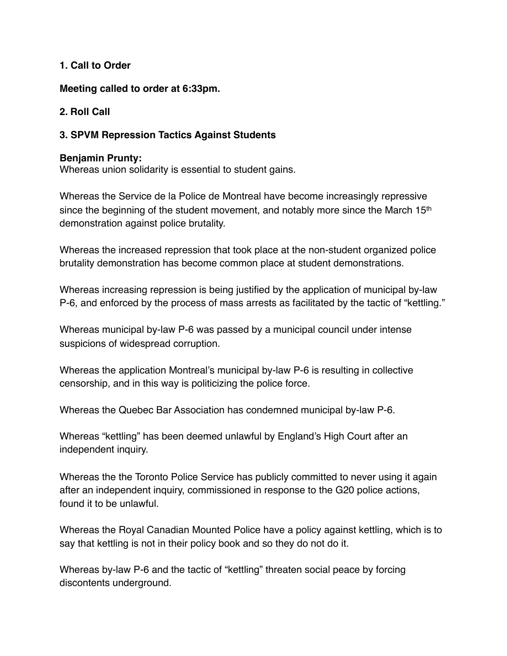#### **1. Call to Order**

**Meeting called to order at 6:33pm.** 

# **2. Roll Call**

# **3. SPVM Repression Tactics Against Students**

#### **Benjamin Prunty:**

Whereas union solidarity is essential to student gains.

Whereas the Service de la Police de Montreal have become increasingly repressive since the beginning of the student movement, and notably more since the March 15<sup>th</sup> demonstration against police brutality.

Whereas the increased repression that took place at the non-student organized police brutality demonstration has become common place at student demonstrations.

Whereas increasing repression is being justified by the application of municipal by-law P-6, and enforced by the process of mass arrests as facilitated by the tactic of "kettling."

Whereas municipal by-law P-6 was passed by a municipal council under intense suspicions of widespread corruption.

Whereas the application Montreal's municipal by-law P-6 is resulting in collective censorship, and in this way is politicizing the police force.

Whereas the Quebec Bar Association has condemned municipal by-law P-6.

Whereas "kettling" has been deemed unlawful by England's High Court after an independent inquiry.

Whereas the the Toronto Police Service has publicly committed to never using it again after an independent inquiry, commissioned in response to the G20 police actions, found it to be unlawful.

Whereas the Royal Canadian Mounted Police have a policy against kettling, which is to say that kettling is not in their policy book and so they do not do it.

Whereas by-law P-6 and the tactic of "kettling" threaten social peace by forcing discontents underground.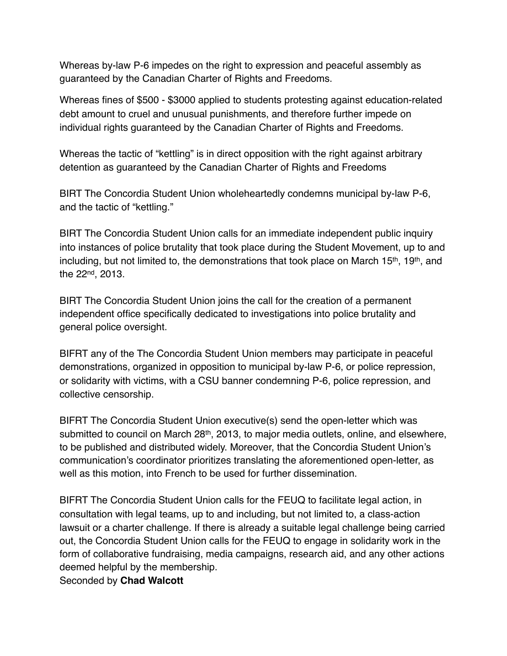Whereas by-law P-6 impedes on the right to expression and peaceful assembly as guaranteed by the Canadian Charter of Rights and Freedoms.

Whereas fines of \$500 - \$3000 applied to students protesting against education-related debt amount to cruel and unusual punishments, and therefore further impede on individual rights guaranteed by the Canadian Charter of Rights and Freedoms.

Whereas the tactic of "kettling" is in direct opposition with the right against arbitrary detention as guaranteed by the Canadian Charter of Rights and Freedoms

BIRT The Concordia Student Union wholeheartedly condemns municipal by-law P-6, and the tactic of "kettling."

BIRT The Concordia Student Union calls for an immediate independent public inquiry into instances of police brutality that took place during the Student Movement, up to and including, but not limited to, the demonstrations that took place on March 15<sup>th</sup>, 19<sup>th</sup>, and the 22nd, 2013.

BIRT The Concordia Student Union joins the call for the creation of a permanent independent office specifically dedicated to investigations into police brutality and general police oversight.

BIFRT any of the The Concordia Student Union members may participate in peaceful demonstrations, organized in opposition to municipal by-law P-6, or police repression, or solidarity with victims, with a CSU banner condemning P-6, police repression, and collective censorship.

BIFRT The Concordia Student Union executive(s) send the open-letter which was submitted to council on March 28<sup>th</sup>, 2013, to major media outlets, online, and elsewhere, to be published and distributed widely. Moreover, that the Concordia Student Union's communication's coordinator prioritizes translating the aforementioned open-letter, as well as this motion, into French to be used for further dissemination.

BIFRT The Concordia Student Union calls for the FEUQ to facilitate legal action, in consultation with legal teams, up to and including, but not limited to, a class-action lawsuit or a charter challenge. If there is already a suitable legal challenge being carried out, the Concordia Student Union calls for the FEUQ to engage in solidarity work in the form of collaborative fundraising, media campaigns, research aid, and any other actions deemed helpful by the membership.

Seconded by **Chad Walcott**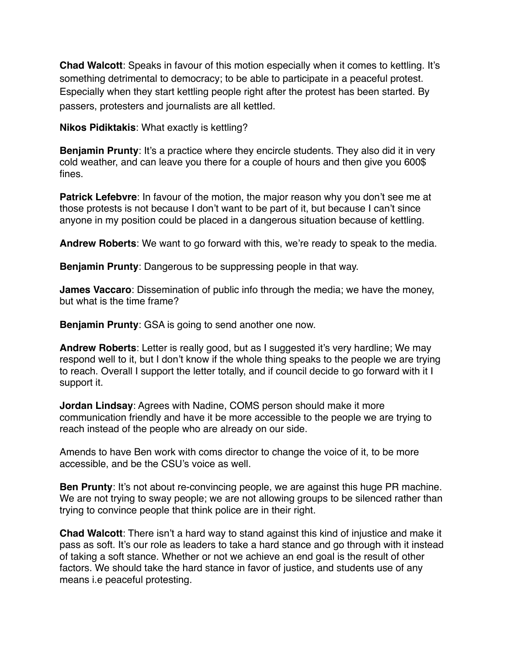**Chad Walcott**: Speaks in favour of this motion especially when it comes to kettling. It's something detrimental to democracy; to be able to participate in a peaceful protest. Especially when they start kettling people right after the protest has been started. By passers, protesters and journalists are all kettled.

**Nikos Pidiktakis**: What exactly is kettling?

**Benjamin Prunty**: It's a practice where they encircle students. They also did it in very cold weather, and can leave you there for a couple of hours and then give you 600\$ fines.

**Patrick Lefebvre:** In favour of the motion, the major reason why you don't see me at those protests is not because I don't want to be part of it, but because I can't since anyone in my position could be placed in a dangerous situation because of kettling.

**Andrew Roberts**: We want to go forward with this, we're ready to speak to the media.

**Benjamin Prunty**: Dangerous to be suppressing people in that way.

**James Vaccaro**: Dissemination of public info through the media; we have the money, but what is the time frame?

**Benjamin Prunty**: GSA is going to send another one now.

**Andrew Roberts**: Letter is really good, but as I suggested it's very hardline; We may respond well to it, but I don't know if the whole thing speaks to the people we are trying to reach. Overall I support the letter totally, and if council decide to go forward with it I support it.

**Jordan Lindsay**: Agrees with Nadine, COMS person should make it more communication friendly and have it be more accessible to the people we are trying to reach instead of the people who are already on our side.

Amends to have Ben work with coms director to change the voice of it, to be more accessible, and be the CSU's voice as well.

**Ben Prunty:** It's not about re-convincing people, we are against this huge PR machine. We are not trying to sway people; we are not allowing groups to be silenced rather than trying to convince people that think police are in their right.

**Chad Walcott**: There isn't a hard way to stand against this kind of injustice and make it pass as soft. It's our role as leaders to take a hard stance and go through with it instead of taking a soft stance. Whether or not we achieve an end goal is the result of other factors. We should take the hard stance in favor of justice, and students use of any means i.e peaceful protesting.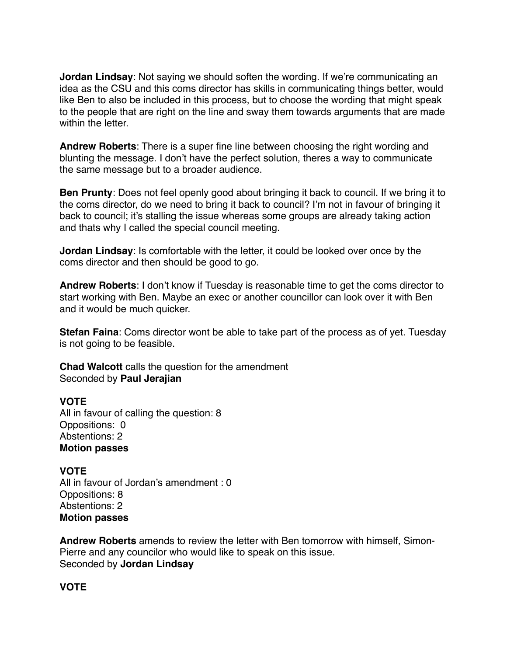**Jordan Lindsay**: Not saying we should soften the wording. If we're communicating an idea as the CSU and this coms director has skills in communicating things better, would like Ben to also be included in this process, but to choose the wording that might speak to the people that are right on the line and sway them towards arguments that are made within the letter.

**Andrew Roberts**: There is a super fine line between choosing the right wording and blunting the message. I don't have the perfect solution, theres a way to communicate the same message but to a broader audience.

**Ben Prunty**: Does not feel openly good about bringing it back to council. If we bring it to the coms director, do we need to bring it back to council? I'm not in favour of bringing it back to council; it's stalling the issue whereas some groups are already taking action and thats why I called the special council meeting.

**Jordan Lindsay**: Is comfortable with the letter, it could be looked over once by the coms director and then should be good to go.

**Andrew Roberts**: I don't know if Tuesday is reasonable time to get the coms director to start working with Ben. Maybe an exec or another councillor can look over it with Ben and it would be much quicker.

**Stefan Faina**: Coms director wont be able to take part of the process as of yet. Tuesday is not going to be feasible.

**Chad Walcott** calls the question for the amendment Seconded by **Paul Jerajian** 

#### **VOTE**

All in favour of calling the question: 8 Oppositions: 0 Abstentions: 2 **Motion passes** 

**VOTE** All in favour of Jordan's amendment : 0 Oppositions: 8 Abstentions: 2 **Motion passes** 

**Andrew Roberts** amends to review the letter with Ben tomorrow with himself, Simon-Pierre and any councilor who would like to speak on this issue. Seconded by **Jordan Lindsay**

## **VOTE**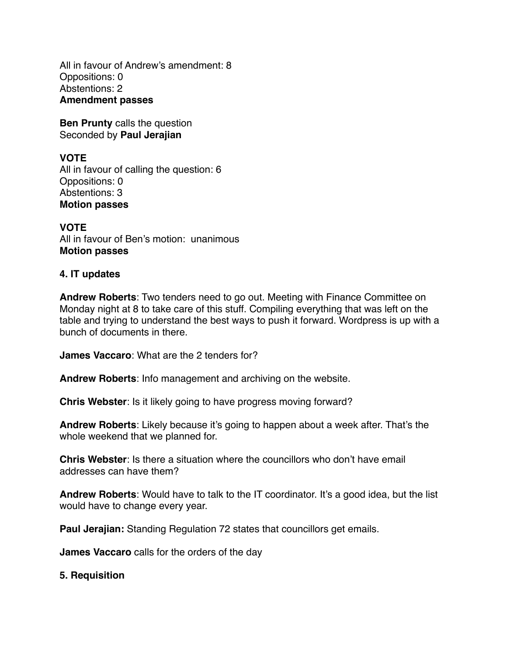All in favour of Andrew's amendment: 8 Oppositions: 0 Abstentions: 2 **Amendment passes** 

**Ben Prunty** calls the question Seconded by **Paul Jerajian** 

# **VOTE**

All in favour of calling the question: 6 Oppositions: 0 Abstentions: 3 **Motion passes** 

**VOTE** All in favour of Ben's motion: unanimous **Motion passes** 

#### **4. IT updates**

**Andrew Roberts**: Two tenders need to go out. Meeting with Finance Committee on Monday night at 8 to take care of this stuff. Compiling everything that was left on the table and trying to understand the best ways to push it forward. Wordpress is up with a bunch of documents in there.

**James Vaccaro**: What are the 2 tenders for?

**Andrew Roberts**: Info management and archiving on the website.

**Chris Webster**: Is it likely going to have progress moving forward?

**Andrew Roberts**: Likely because it's going to happen about a week after. That's the whole weekend that we planned for.

**Chris Webster**: Is there a situation where the councillors who don't have email addresses can have them?

**Andrew Roberts**: Would have to talk to the IT coordinator. It's a good idea, but the list would have to change every year.

**Paul Jerajian:** Standing Regulation 72 states that councillors get emails.

**James Vaccaro** calls for the orders of the day

#### **5. Requisition**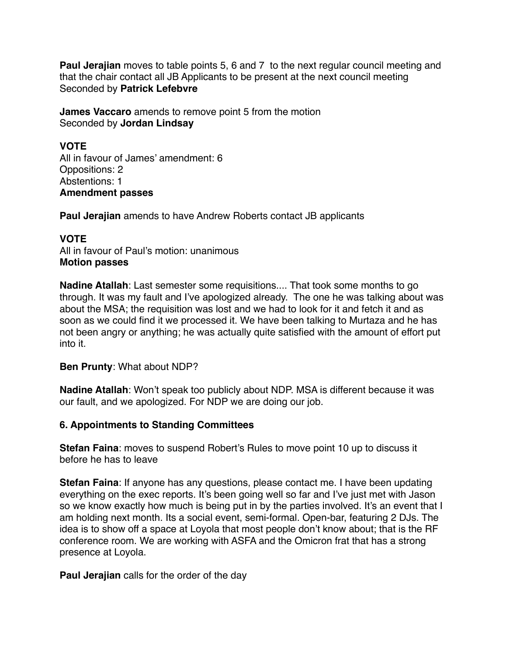**Paul Jerajian** moves to table points 5, 6 and 7 to the next regular council meeting and that the chair contact all JB Applicants to be present at the next council meeting Seconded by **Patrick Lefebvre** 

**James Vaccaro** amends to remove point 5 from the motion Seconded by **Jordan Lindsay**

## **VOTE**

All in favour of James' amendment: 6 Oppositions: 2 Abstentions: 1 **Amendment passes** 

**Paul Jerajian** amends to have Andrew Roberts contact JB applicants

## **VOTE**

All in favour of Paul's motion: unanimous **Motion passes** 

**Nadine Atallah**: Last semester some requisitions.... That took some months to go through. It was my fault and I've apologized already. The one he was talking about was about the MSA; the requisition was lost and we had to look for it and fetch it and as soon as we could find it we processed it. We have been talking to Murtaza and he has not been angry or anything; he was actually quite satisfied with the amount of effort put into it.

## **Ben Prunty**: What about NDP?

**Nadine Atallah**: Won't speak too publicly about NDP. MSA is different because it was our fault, and we apologized. For NDP we are doing our job.

## **6. Appointments to Standing Committees**

**Stefan Faina**: moves to suspend Robert's Rules to move point 10 up to discuss it before he has to leave

**Stefan Faina**: If anyone has any questions, please contact me. I have been updating everything on the exec reports. It's been going well so far and I've just met with Jason so we know exactly how much is being put in by the parties involved. It's an event that I am holding next month. Its a social event, semi-formal. Open-bar, featuring 2 DJs. The idea is to show off a space at Loyola that most people don't know about; that is the RF conference room. We are working with ASFA and the Omicron frat that has a strong presence at Loyola.

**Paul Jerajian** calls for the order of the day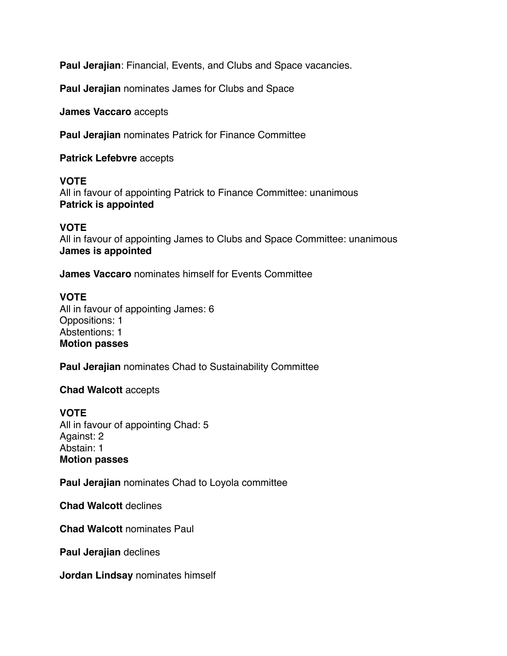**Paul Jerajian**: Financial, Events, and Clubs and Space vacancies.

**Paul Jerajian** nominates James for Clubs and Space

**James Vaccaro** accepts

**Paul Jerajian** nominates Patrick for Finance Committee

**Patrick Lefebvre** accepts

#### **VOTE**

All in favour of appointing Patrick to Finance Committee: unanimous **Patrick is appointed** 

#### **VOTE**

All in favour of appointing James to Clubs and Space Committee: unanimous **James is appointed** 

**James Vaccaro** nominates himself for Events Committee

## **VOTE**

All in favour of appointing James: 6 Oppositions: 1 Abstentions: 1 **Motion passes** 

**Paul Jerajian** nominates Chad to Sustainability Committee

#### **Chad Walcott** accepts

**VOTE** All in favour of appointing Chad: 5 Against: 2 Abstain: 1 **Motion passes**

**Paul Jerajian** nominates Chad to Loyola committee

**Chad Walcott** declines

**Chad Walcott** nominates Paul

**Paul Jerajian** declines

**Jordan Lindsay** nominates himself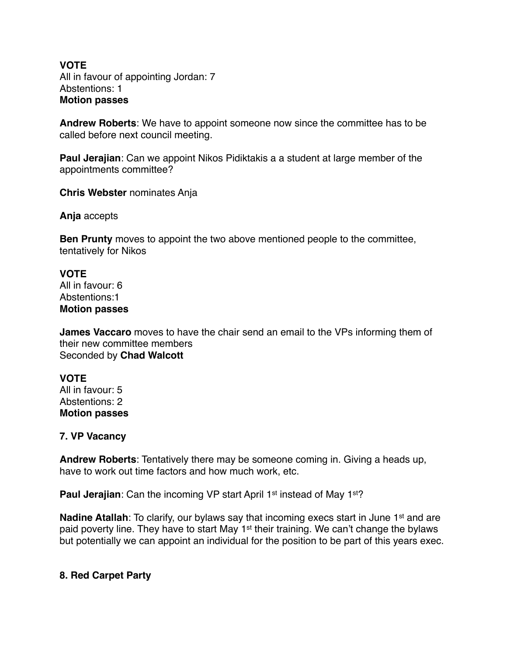#### **VOTE** All in favour of appointing Jordan: 7 Abstentions: 1 **Motion passes**

**Andrew Roberts**: We have to appoint someone now since the committee has to be called before next council meeting.

**Paul Jerajian**: Can we appoint Nikos Pidiktakis a a student at large member of the appointments committee?

**Chris Webster** nominates Anja

**Anja** accepts

**Ben Prunty** moves to appoint the two above mentioned people to the committee, tentatively for Nikos

**VOTE** All in favour: 6 Abstentions:1 **Motion passes** 

**James Vaccaro** moves to have the chair send an email to the VPs informing them of their new committee members Seconded by **Chad Walcott**

# **VOTE**

All in favour: 5 Abstentions: 2 **Motion passes** 

#### **7. VP Vacancy**

**Andrew Roberts**: Tentatively there may be someone coming in. Giving a heads up, have to work out time factors and how much work, etc.

**Paul Jerajian:** Can the incoming VP start April 1<sup>st</sup> instead of May 1<sup>st</sup>?

**Nadine Atallah**: To clarify, our bylaws say that incoming execs start in June 1<sup>st</sup> and are paid poverty line. They have to start May 1<sup>st</sup> their training. We can't change the bylaws but potentially we can appoint an individual for the position to be part of this years exec.

## **8. Red Carpet Party**